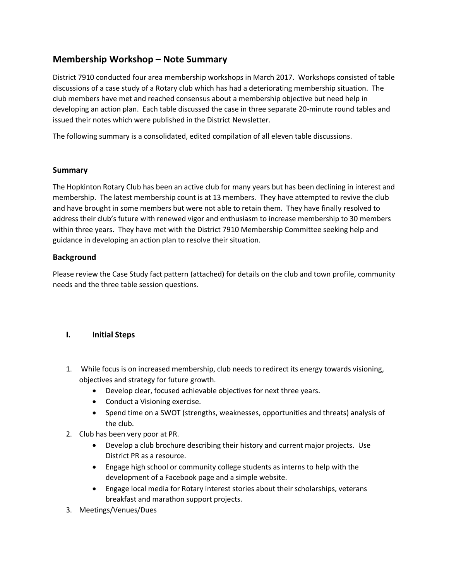# **Membership Workshop – Note Summary**

District 7910 conducted four area membership workshops in March 2017. Workshops consisted of table discussions of a case study of a Rotary club which has had a deteriorating membership situation. The club members have met and reached consensus about a membership objective but need help in developing an action plan. Each table discussed the case in three separate 20-minute round tables and issued their notes which were published in the District Newsletter.

The following summary is a consolidated, edited compilation of all eleven table discussions.

### **Summary**

The Hopkinton Rotary Club has been an active club for many years but has been declining in interest and membership. The latest membership count is at 13 members. They have attempted to revive the club and have brought in some members but were not able to retain them. They have finally resolved to address their club's future with renewed vigor and enthusiasm to increase membership to 30 members within three years. They have met with the District 7910 Membership Committee seeking help and guidance in developing an action plan to resolve their situation.

# **Background**

Please review the Case Study fact pattern (attached) for details on the club and town profile, community needs and the three table session questions.

# **I. Initial Steps**

- 1. While focus is on increased membership, club needs to redirect its energy towards visioning, objectives and strategy for future growth.
	- Develop clear, focused achievable objectives for next three years.
	- Conduct a Visioning exercise.
	- Spend time on a SWOT (strengths, weaknesses, opportunities and threats) analysis of the club.
- 2. Club has been very poor at PR.
	- Develop a club brochure describing their history and current major projects. Use District PR as a resource.
	- Engage high school or community college students as interns to help with the development of a Facebook page and a simple website.
	- Engage local media for Rotary interest stories about their scholarships, veterans breakfast and marathon support projects.
- 3. Meetings/Venues/Dues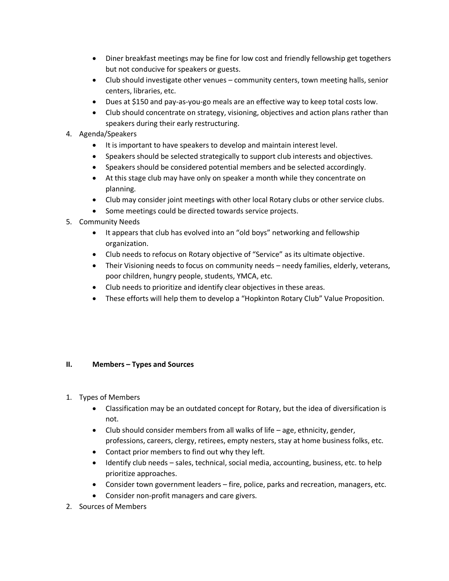- Diner breakfast meetings may be fine for low cost and friendly fellowship get togethers but not conducive for speakers or guests.
- Club should investigate other venues community centers, town meeting halls, senior centers, libraries, etc.
- Dues at \$150 and pay-as-you-go meals are an effective way to keep total costs low.
- Club should concentrate on strategy, visioning, objectives and action plans rather than speakers during their early restructuring.
- 4. Agenda/Speakers
	- It is important to have speakers to develop and maintain interest level.
	- Speakers should be selected strategically to support club interests and objectives.
	- Speakers should be considered potential members and be selected accordingly.
	- At this stage club may have only on speaker a month while they concentrate on planning.
	- Club may consider joint meetings with other local Rotary clubs or other service clubs.
	- Some meetings could be directed towards service projects.
- 5. Community Needs
	- It appears that club has evolved into an "old boys" networking and fellowship organization.
	- Club needs to refocus on Rotary objective of "Service" as its ultimate objective.
	- Their Visioning needs to focus on community needs needy families, elderly, veterans, poor children, hungry people, students, YMCA, etc.
	- Club needs to prioritize and identify clear objectives in these areas.
	- These efforts will help them to develop a "Hopkinton Rotary Club" Value Proposition.

### **II. Members – Types and Sources**

- 1. Types of Members
	- Classification may be an outdated concept for Rotary, but the idea of diversification is not.
	- $\bullet$  Club should consider members from all walks of life age, ethnicity, gender, professions, careers, clergy, retirees, empty nesters, stay at home business folks, etc.
	- Contact prior members to find out why they left.
	- Identify club needs sales, technical, social media, accounting, business, etc. to help prioritize approaches.
	- Consider town government leaders fire, police, parks and recreation, managers, etc.
	- Consider non-profit managers and care givers.
- 2. Sources of Members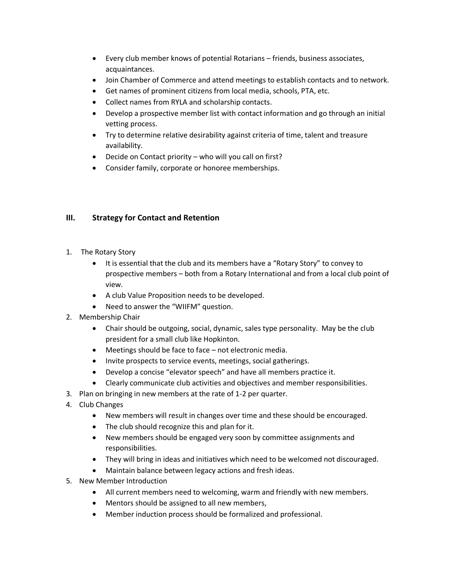- Every club member knows of potential Rotarians friends, business associates, acquaintances.
- Join Chamber of Commerce and attend meetings to establish contacts and to network.
- Get names of prominent citizens from local media, schools, PTA, etc.
- Collect names from RYLA and scholarship contacts.
- Develop a prospective member list with contact information and go through an initial vetting process.
- Try to determine relative desirability against criteria of time, talent and treasure availability.
- Decide on Contact priority who will you call on first?
- Consider family, corporate or honoree memberships.

# **III. Strategy for Contact and Retention**

- 1. The Rotary Story
	- It is essential that the club and its members have a "Rotary Story" to convey to prospective members – both from a Rotary International and from a local club point of view.
	- A club Value Proposition needs to be developed.
	- Need to answer the "WIIFM" question.
- 2. Membership Chair
	- Chair should be outgoing, social, dynamic, sales type personality. May be the club president for a small club like Hopkinton.
	- Meetings should be face to face not electronic media.
	- Invite prospects to service events, meetings, social gatherings.
	- Develop a concise "elevator speech" and have all members practice it.
	- Clearly communicate club activities and objectives and member responsibilities.
- 3. Plan on bringing in new members at the rate of 1-2 per quarter.
- 4. Club Changes
	- New members will result in changes over time and these should be encouraged.
	- The club should recognize this and plan for it.
	- New members should be engaged very soon by committee assignments and responsibilities.
	- They will bring in ideas and initiatives which need to be welcomed not discouraged.
	- Maintain balance between legacy actions and fresh ideas.
- 5. New Member Introduction
	- All current members need to welcoming, warm and friendly with new members.
	- Mentors should be assigned to all new members,
	- Member induction process should be formalized and professional.